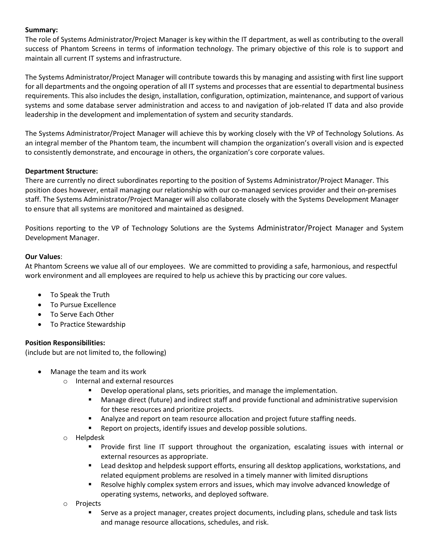### **Summary:**

The role of Systems Administrator/Project Manager is key within the IT department, as well as contributing to the overall success of Phantom Screens in terms of information technology. The primary objective of this role is to support and maintain all current IT systems and infrastructure.

The Systems Administrator/Project Manager will contribute towards this by managing and assisting with first line support for all departments and the ongoing operation of all IT systems and processes that are essential to departmental business requirements. This also includes the design, installation, configuration, optimization, maintenance, and support of various systems and some database server administration and access to and navigation of job-related IT data and also provide leadership in the development and implementation of system and security standards.

The Systems Administrator/Project Manager will achieve this by working closely with the VP of Technology Solutions. As an integral member of the Phantom team, the incumbent will champion the organization's overall vision and is expected to consistently demonstrate, and encourage in others, the organization's core corporate values.

## **Department Structure:**

There are currently no direct subordinates reporting to the position of Systems Administrator/Project Manager. This position does however, entail managing our relationship with our co-managed services provider and their on-premises staff. The Systems Administrator/Project Manager will also collaborate closely with the Systems Development Manager to ensure that all systems are monitored and maintained as designed.

Positions reporting to the VP of Technology Solutions are the Systems Administrator/Project Manager and System Development Manager.

## **Our Values**:

At Phantom Screens we value all of our employees. We are committed to providing a safe, harmonious, and respectful work environment and all employees are required to help us achieve this by practicing our core values.

- To Speak the Truth
- To Pursue Excellence
- To Serve Each Other
- To Practice Stewardship

# **Position Responsibilities:**

(include but are not limited to, the following)

- Manage the team and its work
	- o Internal and external resources
		- Develop operational plans, sets priorities, and manage the implementation.
		- Manage direct (future) and indirect staff and provide functional and administrative supervision for these resources and prioritize projects.
		- Analyze and report on team resource allocation and project future staffing needs.
		- Report on projects, identify issues and develop possible solutions.
	- o Helpdesk
		- **•** Provide first line IT support throughout the organization, escalating issues with internal or external resources as appropriate.
		- Lead desktop and helpdesk support efforts, ensuring all desktop applications, workstations, and related equipment problems are resolved in a timely manner with limited disruptions
		- Resolve highly complex system errors and issues, which may involve advanced knowledge of operating systems, networks, and deployed software.
	- o Projects
		- **EXECT** Serve as a project manager, creates project documents, including plans, schedule and task lists and manage resource allocations, schedules, and risk.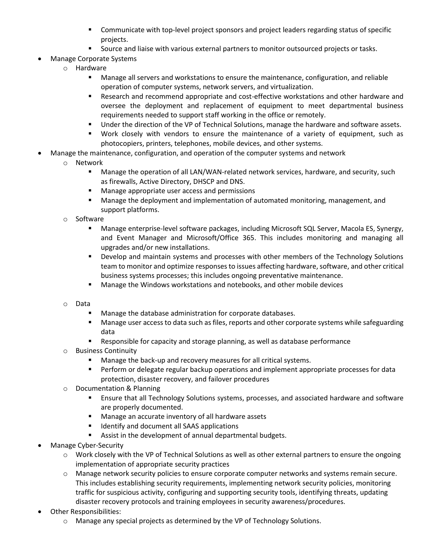- **•** Communicate with top-level project sponsors and project leaders regarding status of specific projects.
- Source and liaise with various external partners to monitor outsourced projects or tasks.
- Manage Corporate Systems
	- o Hardware
		- Manage all servers and workstations to ensure the maintenance, configuration, and reliable operation of computer systems, network servers, and virtualization.
		- Research and recommend appropriate and cost-effective workstations and other hardware and oversee the deployment and replacement of equipment to meet departmental business requirements needed to support staff working in the office or remotely.
		- Under the direction of the VP of Technical Solutions, manage the hardware and software assets.
		- Work closely with vendors to ensure the maintenance of a variety of equipment, such as photocopiers, printers, telephones, mobile devices, and other systems.
- Manage the maintenance, configuration, and operation of the computer systems and network
	- o Network
		- Manage the operation of all LAN/WAN-related network services, hardware, and security, such as firewalls, Active Directory, DHSCP and DNS.
		- Manage appropriate user access and permissions
		- Manage the deployment and implementation of automated monitoring, management, and support platforms.
	- o Software
		- Manage enterprise-level software packages, including Microsoft SQL Server, Macola ES, Synergy, and Event Manager and Microsoft/Office 365. This includes monitoring and managing all upgrades and/or new installations.
		- **•** Develop and maintain systems and processes with other members of the Technology Solutions team to monitor and optimize responses to issues affecting hardware, software, and other critical business systems processes; this includes ongoing preventative maintenance.
		- Manage the Windows workstations and notebooks, and other mobile devices
	- o Data
		- Manage the database administration for corporate databases.
		- **■** Manage user access to data such as files, reports and other corporate systems while safeguarding data
		- Responsible for capacity and storage planning, as well as database performance
	- o Business Continuity
		- Manage the back-up and recovery measures for all critical systems.
		- **■** Perform or delegate regular backup operations and implement appropriate processes for data protection, disaster recovery, and failover procedures
	- o Documentation & Planning
		- Ensure that all Technology Solutions systems, processes, and associated hardware and software are properly documented.
		- Manage an accurate inventory of all hardware assets
		- Identify and document all SAAS applications
		- Assist in the development of annual departmental budgets.
- Manage Cyber-Security
	- o Work closely with the VP of Technical Solutions as well as other external partners to ensure the ongoing implementation of appropriate security practices
	- o Manage network security policies to ensure corporate computer networks and systems remain secure. This includes establishing security requirements, implementing network security policies, monitoring traffic for suspicious activity, configuring and supporting security tools, identifying threats, updating disaster recovery protocols and training employees in security awareness/procedures.
- Other Responsibilities:
	- $\circ$  Manage any special projects as determined by the VP of Technology Solutions.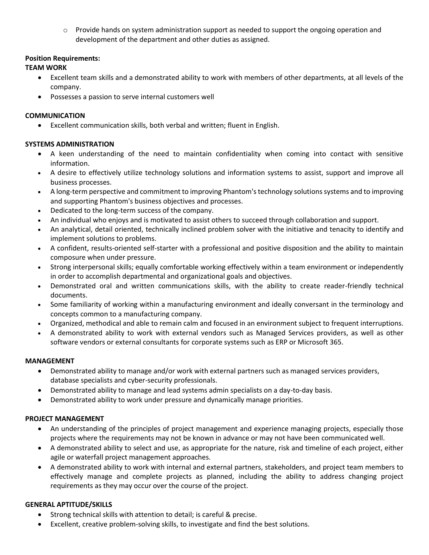$\circ$  Provide hands on system administration support as needed to support the ongoing operation and development of the department and other duties as assigned.

## **Position Requirements:**

## **TEAM WORK**

- Excellent team skills and a demonstrated ability to work with members of other departments, at all levels of the company.
- Possesses a passion to serve internal customers well

### **COMMUNICATION**

• Excellent communication skills, both verbal and written; fluent in English.

# **SYSTEMS ADMINISTRATION**

- A keen understanding of the need to maintain confidentiality when coming into contact with sensitive information.
- A desire to effectively utilize technology solutions and information systems to assist, support and improve all business processes.
- A long-term perspective and commitment to improving Phantom's technology solutions systems and to improving and supporting Phantom's business objectives and processes.
- Dedicated to the long-term success of the company.
- An individual who enjoys and is motivated to assist others to succeed through collaboration and support.
- An analytical, detail oriented, technically inclined problem solver with the initiative and tenacity to identify and implement solutions to problems.
- A confident, results-oriented self-starter with a professional and positive disposition and the ability to maintain composure when under pressure.
- Strong interpersonal skills; equally comfortable working effectively within a team environment or independently in order to accomplish departmental and organizational goals and objectives.
- Demonstrated oral and written communications skills, with the ability to create reader-friendly technical documents.
- Some familiarity of working within a manufacturing environment and ideally conversant in the terminology and concepts common to a manufacturing company.
- Organized, methodical and able to remain calm and focused in an environment subject to frequent interruptions.
- A demonstrated ability to work with external vendors such as Managed Services providers, as well as other software vendors or external consultants for corporate systems such as ERP or Microsoft 365.

#### **MANAGEMENT**

- Demonstrated ability to manage and/or work with external partners such as managed services providers, database specialists and cyber-security professionals.
- Demonstrated ability to manage and lead systems admin specialists on a day-to-day basis.
- Demonstrated ability to work under pressure and dynamically manage priorities.

# **PROJECT MANAGEMENT**

- An understanding of the principles of project management and experience managing projects, especially those projects where the requirements may not be known in advance or may not have been communicated well.
- A demonstrated ability to select and use, as appropriate for the nature, risk and timeline of each project, either agile or waterfall project management approaches.
- A demonstrated ability to work with internal and external partners, stakeholders, and project team members to effectively manage and complete projects as planned, including the ability to address changing project requirements as they may occur over the course of the project.

# **GENERAL APTITUDE/SKILLS**

- Strong technical skills with attention to detail; is careful & precise.
- Excellent, creative problem-solving skills, to investigate and find the best solutions.